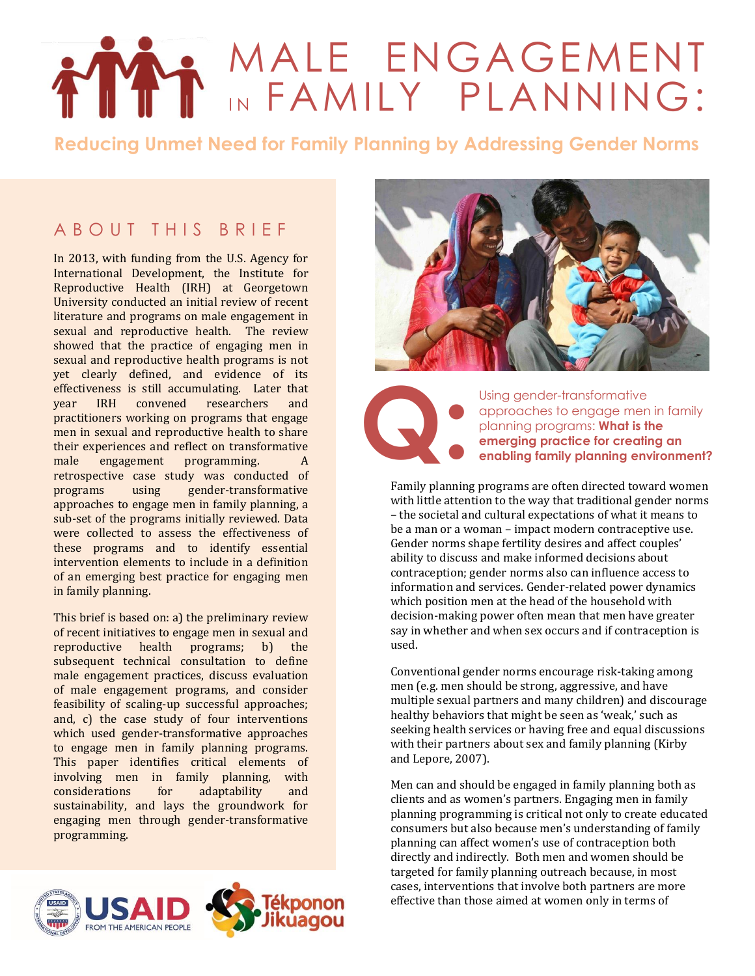# MALE ENGAGEMENT IN FAMILY PLANNING:

**Reducing Unmet Need for Family Planning by Addressing Gender Norms**

## A B O U T T H I S B R I F F

In 2013, with funding from the U.S. Agency for International Development, the Institute for Reproductive Health (IRH) at Georgetown University conducted an initial review of recent literature and programs on male engagement in sexual and reproductive health. The review showed that the practice of engaging men in sexual and reproductive health programs is not yet clearly defined, and evidence of its effectiveness is still accumulating. Later that year IRH convened researchers and practitioners working on programs that engage men in sexual and reproductive health to share their experiences and reflect on transformative male engagement programming. A retrospective case study was conducted of programs using gender-transformative approaches to engage men in family planning, a sub-set of the programs initially reviewed. Data were collected to assess the effectiveness of these programs and to identify essential intervention elements to include in a definition of an emerging best practice for engaging men in family planning.

This brief is based on: a) the preliminary review of recent initiatives to engage men in sexual and reproductive health programs; b) the subsequent technical consultation to define male engagement practices, discuss evaluation of male engagement programs, and consider feasibility of scaling-up successful approaches; and, c) the case study of four interventions which used gender-transformative approaches to engage men in family planning programs. This paper identifies critical elements of involving men in family planning, with considerations for adaptability and sustainability, and lays the groundwork for engaging men through gender-transformative programming.







Using gender-transformative<br>approaches to engage men<br>planning programs: **What is the energing practice for creating**<br>enabling family planning env approaches to engage men in family planning programs: **What is the emerging practice for creating an enabling family planning environment?**

Family planning programs are often directed toward women with little attention to the way that traditional gender norms – the societal and cultural expectations of what it means to be a man or a woman – impact modern contraceptive use. Gender norms shape fertility desires and affect couples' ability to discuss and make informed decisions about contraception; gender norms also can influence access to information and services. Gender-related power dynamics which position men at the head of the household with decision-making power often mean that men have greater say in whether and when sex occurs and if contraception is used.

Conventional gender norms encourage risk-taking among men (e.g. men should be strong, aggressive, and have multiple sexual partners and many children) and discourage healthy behaviors that might be seen as 'weak,' such as seeking health services or having free and equal discussions with their partners about sex and family planning (Kirby and Lepore, 2007).

Men can and should be engaged in family planning both as clients and as women's partners. Engaging men in family planning programming is critical not only to create educated consumers but also because men's understanding of family planning can affect women's use of contraception both directly and indirectly. Both men and women should be targeted for family planning outreach because, in most cases, interventions that involve both partners are more effective than those aimed at women only in terms of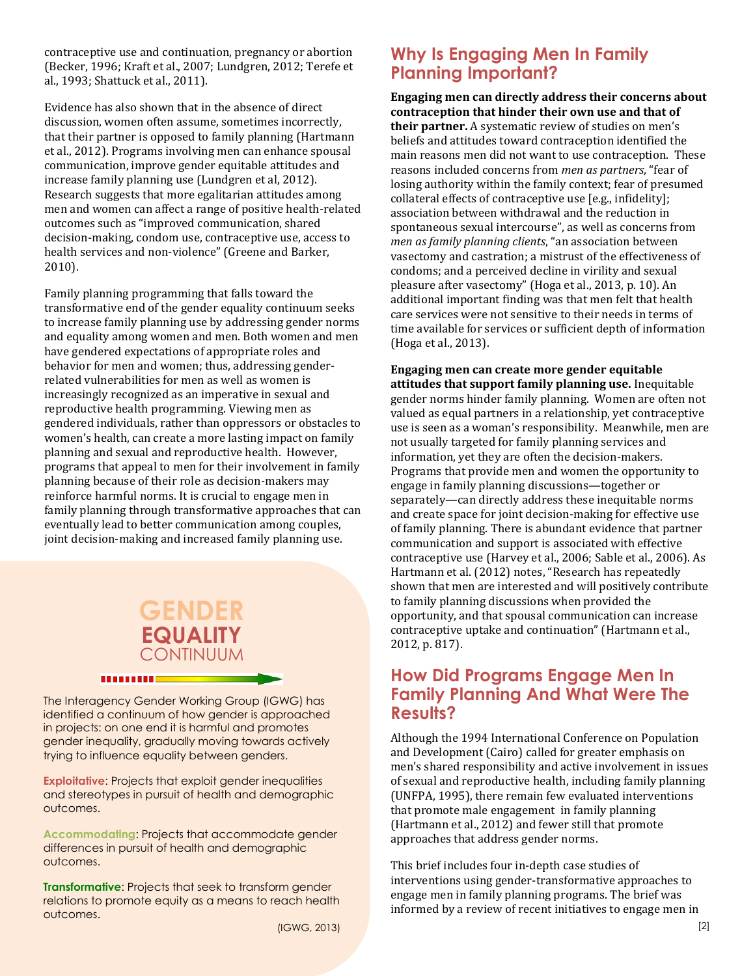contraceptive use and continuation, pregnancy or abortion (Becker, 1996; Kraft et al., 2007; Lundgren, 2012; Terefe et al., 1993; Shattuck et al., 2011).

Evidence has also shown that in the absence of direct discussion, women often assume, sometimes incorrectly, that their partner is opposed to family planning (Hartmann et al., 2012). Programs involving men can enhance spousal communication, improve gender equitable attitudes and increase family planning use (Lundgren et al, 2012). Research suggests that more egalitarian attitudes among men and women can affect a range of positive health-related outcomes such as "improved communication, shared decision-making, condom use, contraceptive use, access to health services and non-violence" (Greene and Barker, 2010).

Family planning programming that falls toward the transformative end of the gender equality continuum seeks to increase family planning use by addressing gender norms and equality among women and men. Both women and men have gendered expectations of appropriate roles and behavior for men and women; thus, addressing genderrelated vulnerabilities for men as well as women is increasingly recognized as an imperative in sexual and reproductive health programming. Viewing men as gendered individuals, rather than oppressors or obstacles to women's health, can create a more lasting impact on family planning and sexual and reproductive health. However, programs that appeal to men for their involvement in family planning because of their role as decision-makers may reinforce harmful norms. It is crucial to engage men in family planning through transformative approaches that can eventually lead to better communication among couples, joint decision-making and increased family planning use.

# **GENDER EQUALITY CONTINUUM**

The Interagency Gender Working Group (IGWG) has identified a continuum of how gender is approached in projects: on one end it is harmful and promotes gender inequality, gradually moving towards actively trying to influence equality between genders.

**BERRIERE** 

**Exploitative**: Projects that exploit gender inequalities and stereotypes in pursuit of health and demographic outcomes.

**Accommodating**: Projects that accommodate gender differences in pursuit of health and demographic outcomes.

**Transformative**: Projects that seek to transform gender relations to promote equity as a means to reach health outcomes.

### **Why Is Engaging Men In Family Planning Important?**

**Engaging men can directly address their concerns about contraception that hinder their own use and that of their partner.** A systematic review of studies on men's beliefs and attitudes toward contraception identified the main reasons men did not want to use contraception. These reasons included concerns from *men as partners*, "fear of losing authority within the family context; fear of presumed collateral effects of contraceptive use [e.g., infidelity]; association between withdrawal and the reduction in spontaneous sexual intercourse", as well as concerns from *men as family planning clients*, "an association between vasectomy and castration; a mistrust of the effectiveness of condoms; and a perceived decline in virility and sexual pleasure after vasectomy" (Hoga et al., 2013, p. 10). An additional important finding was that men felt that health care services were not sensitive to their needs in terms of time available for services or sufficient depth of information (Hoga et al., 2013).

**Engaging men can create more gender equitable attitudes that support family planning use.** Inequitable gender norms hinder family planning. Women are often not valued as equal partners in a relationship, yet contraceptive use is seen as a woman's responsibility. Meanwhile, men are not usually targeted for family planning services and information, yet they are often the decision-makers. Programs that provide men and women the opportunity to engage in family planning discussions—together or separately—can directly address these inequitable norms and create space for joint decision-making for effective use of family planning. There is abundant evidence that partner communication and support is associated with effective contraceptive use (Harvey et al., 2006; Sable et al., 2006). As Hartmann et al. (2012) notes, "Research has repeatedly shown that men are interested and will positively contribute to family planning discussions when provided the opportunity, and that spousal communication can increase contraceptive uptake and continuation" (Hartmann et al., 2012, p. 817).

### **How Did Programs Engage Men In Family Planning And What Were The Results?**

Although the 1994 International Conference on Population and Development (Cairo) called for greater emphasis on men's shared responsibility and active involvement in issues of sexual and reproductive health, including family planning (UNFPA, 1995), there remain few evaluated interventions that promote male engagement in family planning (Hartmann et al., 2012) and fewer still that promote approaches that address gender norms.

This brief includes four in-depth case studies of interventions using gender-transformative approaches to engage men in family planning programs. The brief was informed by a review of recent initiatives to engage men in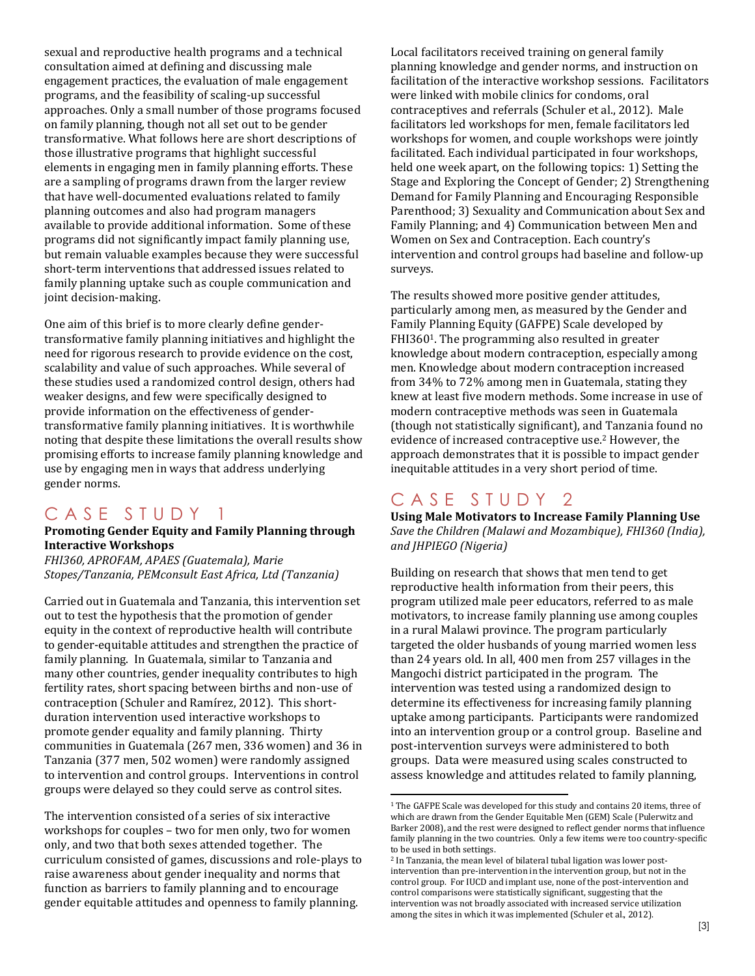sexual and reproductive health programs and a technical consultation aimed at defining and discussing male engagement practices, the evaluation of male engagement programs, and the feasibility of scaling-up successful approaches. Only a small number of those programs focused on family planning, though not all set out to be gender transformative. What follows here are short descriptions of those illustrative programs that highlight successful elements in engaging men in family planning efforts. These are a sampling of programs drawn from the larger review that have well-documented evaluations related to family planning outcomes and also had program managers available to provide additional information. Some of these programs did not significantly impact family planning use, but remain valuable examples because they were successful short-term interventions that addressed issues related to family planning uptake such as couple communication and joint decision-making.

One aim of this brief is to more clearly define gendertransformative family planning initiatives and highlight the need for rigorous research to provide evidence on the cost, scalability and value of such approaches. While several of these studies used a randomized control design, others had weaker designs, and few were specifically designed to provide information on the effectiveness of gendertransformative family planning initiatives. It is worthwhile noting that despite these limitations the overall results show promising efforts to increase family planning knowledge and use by engaging men in ways that address underlying gender norms.

### CASE STUDY 1

#### **Promoting Gender Equity and Family Planning through Interactive Workshops**

*FHI360, APROFAM, APAES (Guatemala), Marie Stopes/Tanzania, PEMconsult East Africa, Ltd (Tanzania)*

Carried out in Guatemala and Tanzania, this intervention set out to test the hypothesis that the promotion of gender equity in the context of reproductive health will contribute to gender-equitable attitudes and strengthen the practice of family planning. In Guatemala, similar to Tanzania and many other countries, gender inequality contributes to high fertility rates, short spacing between births and non-use of contraception (Schuler and Ramírez, 2012). This shortduration intervention used interactive workshops to promote gender equality and family planning. Thirty communities in Guatemala (267 men, 336 women) and 36 in Tanzania (377 men, 502 women) were randomly assigned to intervention and control groups. Interventions in control groups were delayed so they could serve as control sites.

The intervention consisted of a series of six interactive workshops for couples – two for men only, two for women only, and two that both sexes attended together. The curriculum consisted of games, discussions and role-plays to raise awareness about gender inequality and norms that function as barriers to family planning and to encourage gender equitable attitudes and openness to family planning.

Local facilitators received training on general family planning knowledge and gender norms, and instruction on facilitation of the interactive workshop sessions. Facilitators were linked with mobile clinics for condoms, oral contraceptives and referrals (Schuler et al., 2012). Male facilitators led workshops for men, female facilitators led workshops for women, and couple workshops were jointly facilitated. Each individual participated in four workshops, held one week apart, on the following topics: 1) Setting the Stage and Exploring the Concept of Gender; 2) Strengthening Demand for Family Planning and Encouraging Responsible Parenthood; 3) Sexuality and Communication about Sex and Family Planning; and 4) Communication between Men and Women on Sex and Contraception. Each country's intervention and control groups had baseline and follow-up surveys.

The results showed more positive gender attitudes, particularly among men, as measured by the Gender and Family Planning Equity (GAFPE) Scale developed by FHI3601. The programming also resulted in greater knowledge about modern contraception, especially among men. Knowledge about modern contraception increased from 34% to 72% among men in Guatemala, stating they knew at least five modern methods. Some increase in use of modern contraceptive methods was seen in Guatemala (though not statistically significant), and Tanzania found no evidence of increased contraceptive use.<sup>2</sup> However, the approach demonstrates that it is possible to impact gender inequitable attitudes in a very short period of time.

### CASE STUDY 2

l

**Using Male Motivators to Increase Family Planning Use** *Save the Children (Malawi and Mozambique), FHI360 (India), and JHPIEGO (Nigeria)* 

Building on research that shows that men tend to get reproductive health information from their peers, this program utilized male peer educators, referred to as male motivators, to increase family planning use among couples in a rural Malawi province. The program particularly targeted the older husbands of young married women less than 24 years old. In all, 400 men from 257 villages in the Mangochi district participated in the program. The intervention was tested using a randomized design to determine its effectiveness for increasing family planning uptake among participants. Participants were randomized into an intervention group or a control group. Baseline and post-intervention surveys were administered to both groups. Data were measured using scales constructed to assess knowledge and attitudes related to family planning,

<sup>1</sup> The GAFPE Scale was developed for this study and contains 20 items, three of which are drawn from the Gender Equitable Men (GEM) Scale (Pulerwitz and Barker 2008), and the rest were designed to reflect gender norms that influence family planning in the two countries. Only a few items were too country-specific to be used in both settings.

<sup>2</sup> In Tanzania, the mean level of bilateral tubal ligation was lower postintervention than pre-intervention in the intervention group, but not in the control group. For IUCD and implant use, none of the post-intervention and control comparisons were statistically significant, suggesting that the intervention was not broadly associated with increased service utilization among the sites in which it was implemented (Schuler et al., 2012).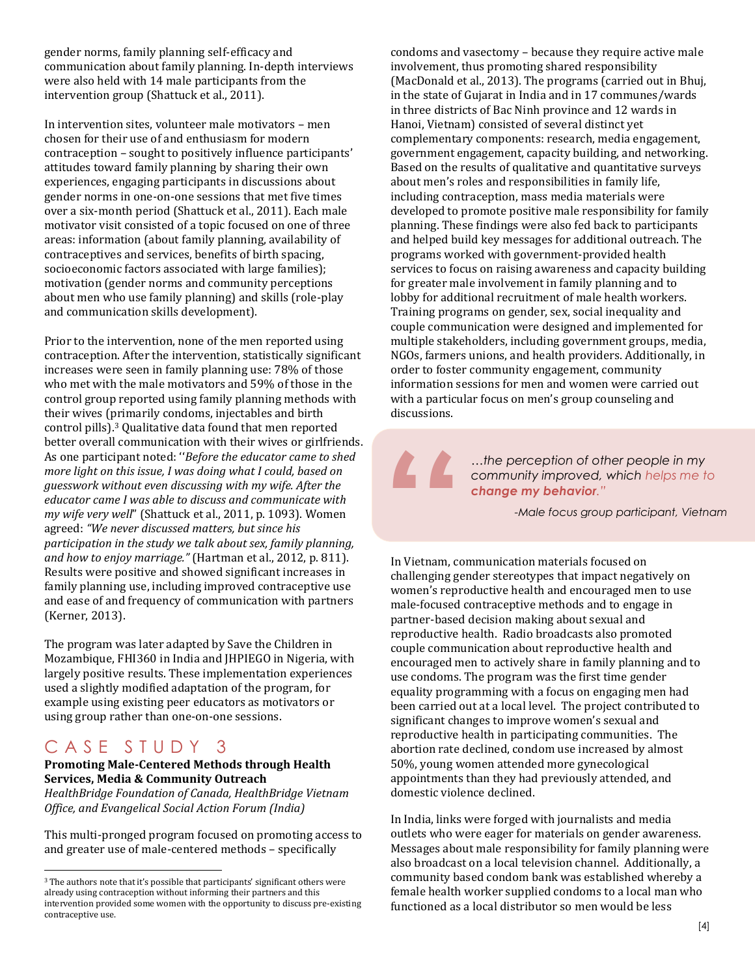gender norms, family planning self-efficacy and communication about family planning. In-depth interviews were also held with 14 male participants from the intervention group (Shattuck et al., 2011).

In intervention sites, volunteer male motivators – men chosen for their use of and enthusiasm for modern contraception – sought to positively influence participants' attitudes toward family planning by sharing their own experiences, engaging participants in discussions about gender norms in one-on-one sessions that met five times over a six-month period (Shattuck et al., 2011). Each male motivator visit consisted of a topic focused on one of three areas: information (about family planning, availability of contraceptives and services, benefits of birth spacing, socioeconomic factors associated with large families); motivation (gender norms and community perceptions about men who use family planning) and skills (role-play and communication skills development).

Prior to the intervention, none of the men reported using contraception. After the intervention, statistically significant increases were seen in family planning use: 78% of those who met with the male motivators and 59% of those in the control group reported using family planning methods with their wives (primarily condoms, injectables and birth control pills).<sup>3</sup> Qualitative data found that men reported better overall communication with their wives or girlfriends. As one participant noted: ''*Before the educator came to shed more light on this issue, I was doing what I could, based on guesswork without even discussing with my wife. After the educator came I was able to discuss and communicate with my wife very well*" (Shattuck et al., 2011, p. 1093). Women agreed: *"We never discussed matters, but since his participation in the study we talk about sex, family planning, and how to enjoy marriage."* (Hartman et al., 2012, p. 811). Results were positive and showed significant increases in family planning use, including improved contraceptive use and ease of and frequency of communication with partners (Kerner, 2013).

The program was later adapted by Save the Children in Mozambique, FHI360 in India and JHPIEGO in Nigeria, with largely positive results. These implementation experiences used a slightly modified adaptation of the program, for example using existing peer educators as motivators or using group rather than one-on-one sessions.

### CASE STUDY 3

l

### **Promoting Male-Centered Methods through Health Services, Media & Community Outreach**

*HealthBridge Foundation of Canada, HealthBridge Vietnam Office, and Evangelical Social Action Forum (India)*

This multi-pronged program focused on promoting access to and greater use of male-centered methods – specifically

condoms and vasectomy – because they require active male involvement, thus promoting shared responsibility (MacDonald et al., 2013). The programs (carried out in Bhuj, in the state of Gujarat in India and in 17 communes/wards in three districts of Bac Ninh province and 12 wards in Hanoi, Vietnam) consisted of several distinct yet complementary components: research, media engagement, government engagement, capacity building, and networking. Based on the results of qualitative and quantitative surveys about men's roles and responsibilities in family life, including contraception, mass media materials were developed to promote positive male responsibility for family planning. These findings were also fed back to participants and helped build key messages for additional outreach. The programs worked with government-provided health services to focus on raising awareness and capacity building for greater male involvement in family planning and to lobby for additional recruitment of male health workers. Training programs on gender, sex, social inequality and couple communication were designed and implemented for multiple stakeholders, including government groups, media, NGOs, farmers unions, and health providers. Additionally, in order to foster community engagement, community information sessions for men and women were carried out with a particular focus on men's group counseling and discussions.

**"**

*…the perception of other people in my community improved, which helps me to change my behavior."*

*-Male focus group participant, Vietnam*

In Vietnam, communication materials focused on challenging gender stereotypes that impact negatively on women's reproductive health and encouraged men to use male-focused contraceptive methods and to engage in partner-based decision making about sexual and reproductive health. Radio broadcasts also promoted couple communication about reproductive health and encouraged men to actively share in family planning and to use condoms. The program was the first time gender equality programming with a focus on engaging men had been carried out at a local level. The project contributed to significant changes to improve women's sexual and reproductive health in participating communities. The abortion rate declined, condom use increased by almost 50%, young women attended more gynecological appointments than they had previously attended, and domestic violence declined.

In India, links were forged with journalists and media outlets who were eager for materials on gender awareness. Messages about male responsibility for family planning were also broadcast on a local television channel. Additionally, a community based condom bank was established whereby a female health worker supplied condoms to a local man who functioned as a local distributor so men would be less

<sup>3</sup> The authors note that it's possible that participants' significant others were already using contraception without informing their partners and this intervention provided some women with the opportunity to discuss pre-existing contraceptive use.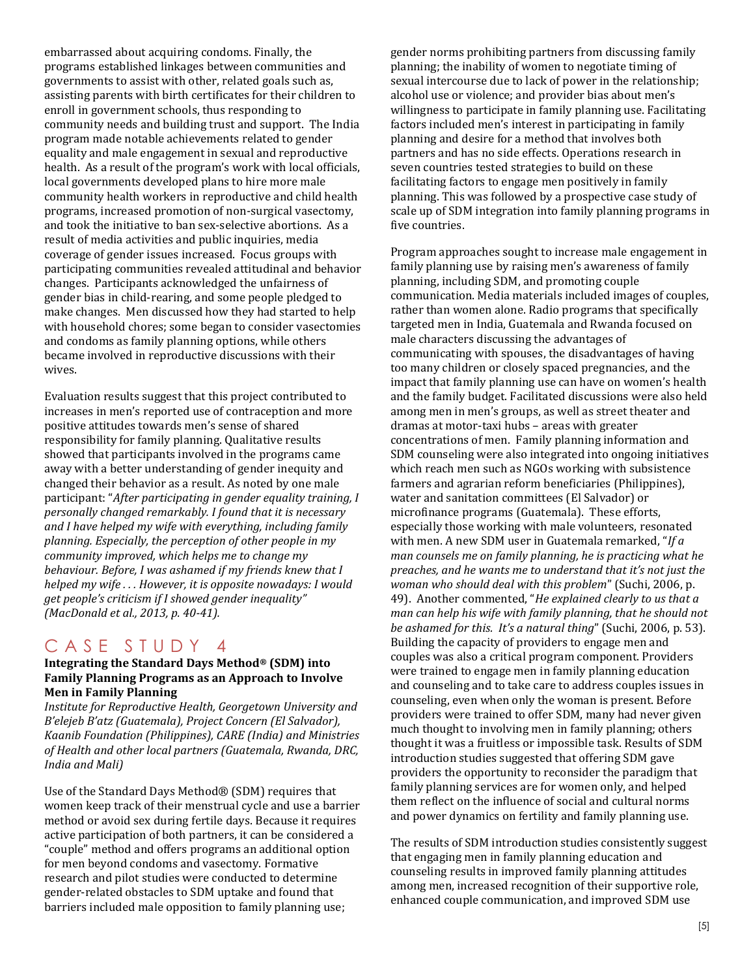embarrassed about acquiring condoms. Finally, the programs established linkages between communities and governments to assist with other, related goals such as, assisting parents with birth certificates for their children to enroll in government schools, thus responding to community needs and building trust and support. The India program made notable achievements related to gender equality and male engagement in sexual and reproductive health. As a result of the program's work with local officials, local governments developed plans to hire more male community health workers in reproductive and child health programs, increased promotion of non-surgical vasectomy, and took the initiative to ban sex-selective abortions. As a result of media activities and public inquiries, media coverage of gender issues increased. Focus groups with participating communities revealed attitudinal and behavior changes. Participants acknowledged the unfairness of gender bias in child-rearing, and some people pledged to make changes. Men discussed how they had started to help with household chores; some began to consider vasectomies and condoms as family planning options, while others became involved in reproductive discussions with their wives.

Evaluation results suggest that this project contributed to increases in men's reported use of contraception and more positive attitudes towards men's sense of shared responsibility for family planning. Qualitative results showed that participants involved in the programs came away with a better understanding of gender inequity and changed their behavior as a result. As noted by one male participant: "*After participating in gender equality training, I personally changed remarkably. I found that it is necessary and I have helped my wife with everything, including family planning. Especially, the perception of other people in my community improved, which helps me to change my behaviour. Before, I was ashamed if my friends knew that I helped my wife . . . However, it is opposite nowadays: I would get people's criticism if I showed gender inequality" (MacDonald et al., 2013, p. 40-41).*

### CASE STUDY 4

#### **Integrating the Standard Days Method® (SDM) into Family Planning Programs as an Approach to Involve Men in Family Planning**

*Institute for Reproductive Health, Georgetown University and B'elejeb B'atz (Guatemala), Project Concern (El Salvador), Kaanib Foundation (Philippines), CARE (India) and Ministries of Health and other local partners (Guatemala, Rwanda, DRC, India and Mali)*

Use of the Standard Days Method® (SDM) requires that women keep track of their menstrual cycle and use a barrier method or avoid sex during fertile days. Because it requires active participation of both partners, it can be considered a "couple" method and offers programs an additional option for men beyond condoms and vasectomy. Formative research and pilot studies were conducted to determine gender-related obstacles to SDM uptake and found that barriers included male opposition to family planning use;

gender norms prohibiting partners from discussing family planning; the inability of women to negotiate timing of sexual intercourse due to lack of power in the relationship; alcohol use or violence; and provider bias about men's willingness to participate in family planning use. Facilitating factors included men's interest in participating in family planning and desire for a method that involves both partners and has no side effects. Operations research in seven countries tested strategies to build on these facilitating factors to engage men positively in family planning. This was followed by a prospective case study of scale up of SDM integration into family planning programs in five countries.

Program approaches sought to increase male engagement in family planning use by raising men's awareness of family planning, including SDM, and promoting couple communication. Media materials included images of couples, rather than women alone. Radio programs that specifically targeted men in India, Guatemala and Rwanda focused on male characters discussing the advantages of communicating with spouses, the disadvantages of having too many children or closely spaced pregnancies, and the impact that family planning use can have on women's health and the family budget. Facilitated discussions were also held among men in men's groups, as well as street theater and dramas at motor-taxi hubs – areas with greater concentrations of men. Family planning information and SDM counseling were also integrated into ongoing initiatives which reach men such as NGOs working with subsistence farmers and agrarian reform beneficiaries (Philippines), water and sanitation committees (El Salvador) or microfinance programs (Guatemala). These efforts, especially those working with male volunteers, resonated with men. A new SDM user in Guatemala remarked, "*If a man counsels me on family planning, he is practicing what he preaches, and he wants me to understand that it's not just the woman who should deal with this problem*" (Suchi, 2006, p. 49). Another commented, "*He explained clearly to us that a man can help his wife with family planning, that he should not be ashamed for this. It's a natural thing*" (Suchi, 2006, p. 53). Building the capacity of providers to engage men and couples was also a critical program component. Providers were trained to engage men in family planning education and counseling and to take care to address couples issues in counseling, even when only the woman is present. Before providers were trained to offer SDM, many had never given much thought to involving men in family planning; others thought it was a fruitless or impossible task. Results of SDM introduction studies suggested that offering SDM gave providers the opportunity to reconsider the paradigm that family planning services are for women only, and helped them reflect on the influence of social and cultural norms and power dynamics on fertility and family planning use.

The results of SDM introduction studies consistently suggest that engaging men in family planning education and counseling results in improved family planning attitudes among men, increased recognition of their supportive role, enhanced couple communication, and improved SDM use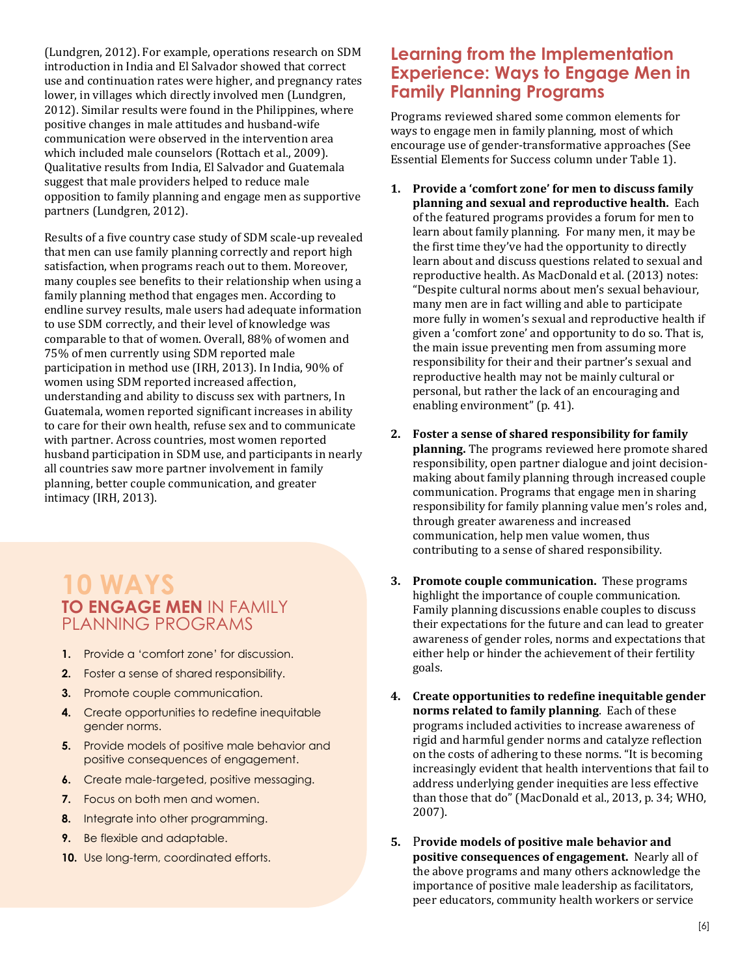(Lundgren, 2012). For example, operations research on SDM introduction in India and El Salvador showed that correct use and continuation rates were higher, and pregnancy rates lower, in villages which directly involved men (Lundgren, 2012). Similar results were found in the Philippines, where positive changes in male attitudes and husband-wife communication were observed in the intervention area which included male counselors (Rottach et al., 2009). Qualitative results from India, El Salvador and Guatemala suggest that male providers helped to reduce male opposition to family planning and engage men as supportive partners (Lundgren, 2012).

Results of a five country case study of SDM scale-up revealed that men can use family planning correctly and report high satisfaction, when programs reach out to them. Moreover, many couples see benefits to their relationship when using a family planning method that engages men. According to endline survey results, male users had adequate information to use SDM correctly, and their level of knowledge was comparable to that of women. Overall, 88% of women and 75% of men currently using SDM reported male participation in method use (IRH, 2013). In India, 90% of women using SDM reported increased affection, understanding and ability to discuss sex with partners, In Guatemala, women reported significant increases in ability to care for their own health, refuse sex and to communicate with partner. Across countries, most women reported husband participation in SDM use, and participants in nearly all countries saw more partner involvement in family planning, better couple communication, and greater intimacy (IRH, 2013).

## **10 WAYS TO ENGAGE MEN** IN FAMILY PLANNING PROGRAMS

- **1.** Provide a 'comfort zone' for discussion.
- **2.** Foster a sense of shared responsibility.
- **3.** Promote couple communication.
- **4.** Create opportunities to redefine inequitable gender norms.
- **5.** Provide models of positive male behavior and positive consequences of engagement.
- **6.** Create male-targeted, positive messaging.
- **7.** Focus on both men and women.
- **8.** Integrate into other programming.
- **9.** Be flexible and adaptable.
- **10.** Use long-term, coordinated efforts.

### **Learning from the Implementation Experience: Ways to Engage Men in Family Planning Programs**

Programs reviewed shared some common elements for ways to engage men in family planning, most of which encourage use of gender-transformative approaches (See Essential Elements for Success column under Table 1).

- **1. Provide a 'comfort zone' for men to discuss family planning and sexual and reproductive health.** Each of the featured programs provides a forum for men to learn about family planning. For many men, it may be the first time they've had the opportunity to directly learn about and discuss questions related to sexual and reproductive health. As MacDonald et al. (2013) notes: "Despite cultural norms about men's sexual behaviour, many men are in fact willing and able to participate more fully in women's sexual and reproductive health if given a 'comfort zone' and opportunity to do so. That is, the main issue preventing men from assuming more responsibility for their and their partner's sexual and reproductive health may not be mainly cultural or personal, but rather the lack of an encouraging and enabling environment" (p. 41).
- **2. Foster a sense of shared responsibility for family planning.** The programs reviewed here promote shared responsibility, open partner dialogue and joint decisionmaking about family planning through increased couple communication. Programs that engage men in sharing responsibility for family planning value men's roles and, through greater awareness and increased communication, help men value women, thus contributing to a sense of shared responsibility.
- **3. Promote couple communication.** These programs highlight the importance of couple communication. Family planning discussions enable couples to discuss their expectations for the future and can lead to greater awareness of gender roles, norms and expectations that either help or hinder the achievement of their fertility goals.
- **4. Create opportunities to redefine inequitable gender norms related to family planning**. Each of these programs included activities to increase awareness of rigid and harmful gender norms and catalyze reflection on the costs of adhering to these norms. "It is becoming increasingly evident that health interventions that fail to address underlying gender inequities are less effective than those that do" (MacDonald et al., 2013, p. 34; WHO, 2007).
- **5.** P**rovide models of positive male behavior and positive consequences of engagement.** Nearly all of the above programs and many others acknowledge the importance of positive male leadership as facilitators, peer educators, community health workers or service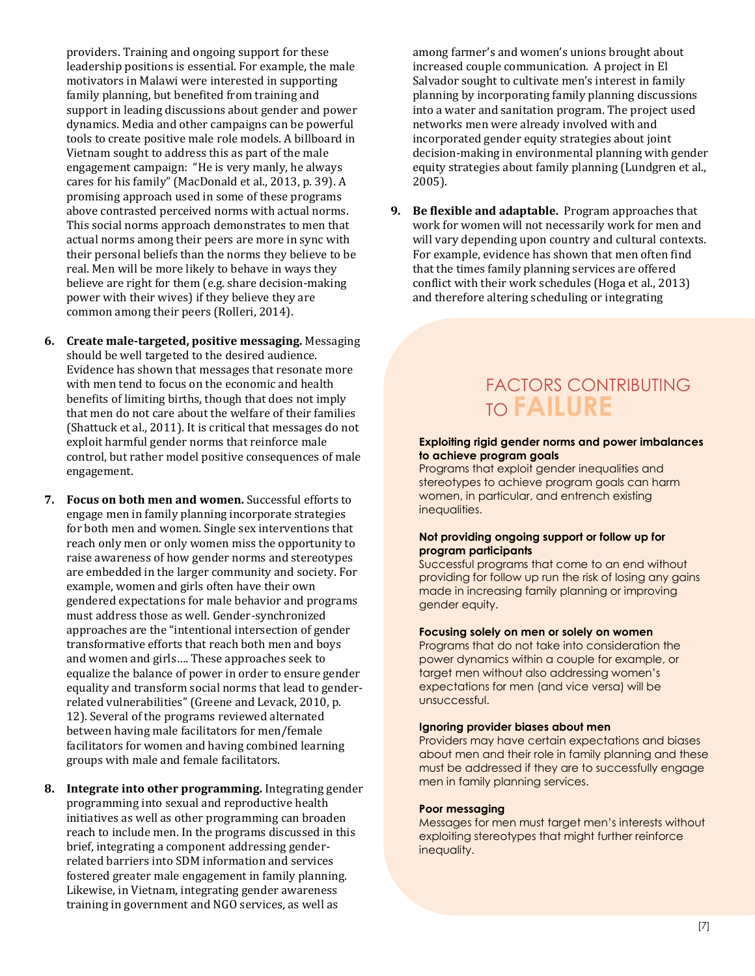providers. Training and ongoing support for these leadership positions is essential. For example, the male motivators in Malawi were interested in supporting family planning, but benefited from training and support in leading discussions about gender and power dynamics. Media and other campaigns can be powerful tools to create positive male role models. A billboard in Vietnam sought to address this as part of the male engagement campaign: "He is very manly, he always cares for his family" (MacDonald et al., 2013, p. 39). A promising approach used in some of these programs above contrasted perceived norms with actual norms. This social norms approach demonstrates to men that actual norms among their peers are more in sync with their personal beliefs than the norms they believe to be real. Men will be more likely to behave in ways they believe are right for them (e.g. share decision-making power with their wives) if they believe they are common among their peers (Rolleri, 2014).

- **6. Create male-targeted, positive messaging.** Messaging should be well targeted to the desired audience. Evidence has shown that messages that resonate more with men tend to focus on the economic and health benefits of limiting births, though that does not imply that men do not care about the welfare of their families (Shattuck et al., 2011). It is critical that messages do not exploit harmful gender norms that reinforce male control, but rather model positive consequences of male engagement.
- **7. Focus on both men and women.** Successful efforts to engage men in family planning incorporate strategies for both men and women. Single sex interventions that reach only men or only women miss the opportunity to raise awareness of how gender norms and stereotypes are embedded in the larger community and society. For example, women and girls often have their own gendered expectations for male behavior and programs must address those as well. Gender-synchronized approaches are the "intentional intersection of gender transformative efforts that reach both men and boys and women and girls…. These approaches seek to equalize the balance of power in order to ensure gender equality and transform social norms that lead to genderrelated vulnerabilities" (Greene and Levack, 2010, p. 12). Several of the programs reviewed alternated between having male facilitators for men/female facilitators for women and having combined learning groups with male and female facilitators.
- **8. Integrate into other programming.** Integrating gender programming into sexual and reproductive health initiatives as well as other programming can broaden reach to include men. In the programs discussed in this brief, integrating a component addressing genderrelated barriers into SDM information and services fostered greater male engagement in family planning. Likewise, in Vietnam, integrating gender awareness training in government and NGO services, as well as

among farmer's and women's unions brought about increased couple communication. A project in El Salvador sought to cultivate men's interest in family planning by incorporating family planning discussions into a water and sanitation program. The project used networks men were already involved with and incorporated gender equity strategies about joint decision-making in environmental planning with gender equity strategies about family planning (Lundgren et al., 2005).

**9. Be flexible and adaptable.** Program approaches that work for women will not necessarily work for men and will vary depending upon country and cultural contexts. For example, evidence has shown that men often find that the times family planning services are offered conflict with their work schedules (Hoga et al., 2013) and therefore altering scheduling or integrating

# FACTORS CONTRIBUTING TO **FAILURE**

#### **Exploiting rigid gender norms and power imbalances to achieve program goals**

Programs that exploit gender inequalities and stereotypes to achieve program goals can harm women, in particular, and entrench existing inequalities.

### **Not providing ongoing support or follow up for program participants**

Successful programs that come to an end without providing for follow up run the risk of losing any gains made in increasing family planning or improving gender equity.

### **Focusing solely on men or solely on women**

Programs that do not take into consideration the power dynamics within a couple for example, or target men without also addressing women's expectations for men (and vice versa) will be unsuccessful.

#### **Ignoring provider biases about men**

Providers may have certain expectations and biases about men and their role in family planning and these must be addressed if they are to successfully engage men in family planning services.

### **Poor messaging**

Messages for men must target men's interests without exploiting stereotypes that might further reinforce inequality.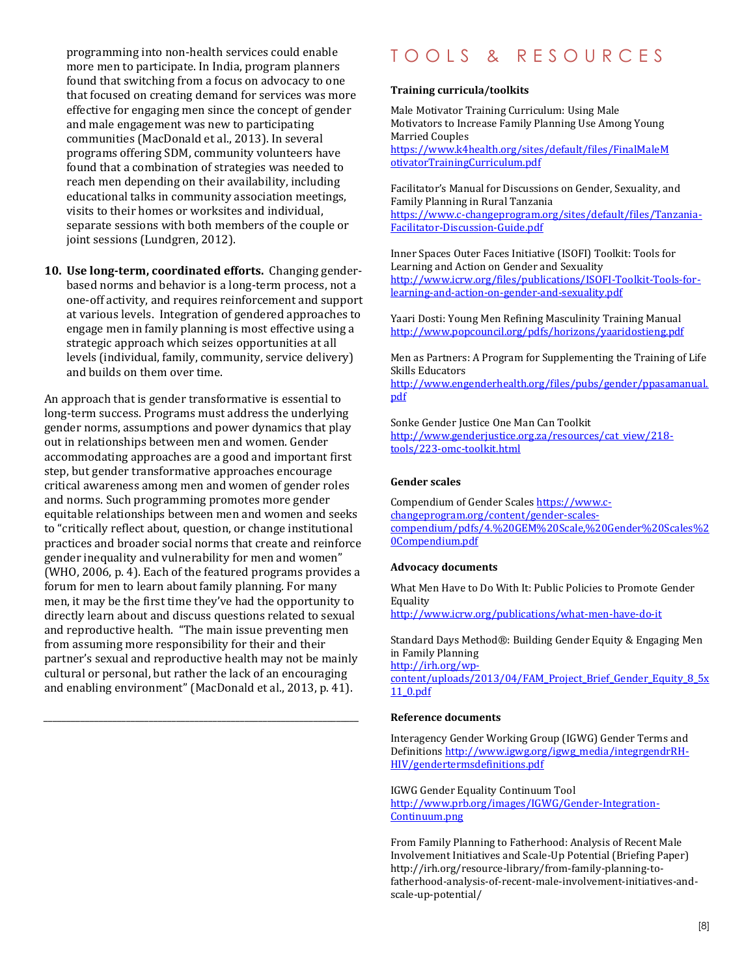programming into non-health services could enable more men to participate. In India, program planners found that switching from a focus on advocacy to one that focused on creating demand for services was more effective for engaging men since the concept of gender and male engagement was new to participating communities (MacDonald et al., 2013). In several programs offering SDM, community volunteers have found that a combination of strategies was needed to reach men depending on their availability, including educational talks in community association meetings, visits to their homes or worksites and individual, separate sessions with both members of the couple or joint sessions (Lundgren, 2012).

**10. Use long-term, coordinated efforts.** Changing genderbased norms and behavior is a long-term process, not a one-off activity, and requires reinforcement and support at various levels. Integration of gendered approaches to engage men in family planning is most effective using a strategic approach which seizes opportunities at all levels (individual, family, community, service delivery) and builds on them over time.

An approach that is gender transformative is essential to long-term success. Programs must address the underlying gender norms, assumptions and power dynamics that play out in relationships between men and women. Gender accommodating approaches are a good and important first step, but gender transformative approaches encourage critical awareness among men and women of gender roles and norms. Such programming promotes more gender equitable relationships between men and women and seeks to "critically reflect about, question, or change institutional practices and broader social norms that create and reinforce gender inequality and vulnerability for men and women" (WHO, 2006, p. 4). Each of the featured programs provides a forum for men to learn about family planning. For many men, it may be the first time they've had the opportunity to directly learn about and discuss questions related to sexual and reproductive health. "The main issue preventing men from assuming more responsibility for their and their partner's sexual and reproductive health may not be mainly cultural or personal, but rather the lack of an encouraging and enabling environment" (MacDonald et al., 2013, p. 41).

*\_\_\_\_\_\_\_\_\_\_\_\_\_\_\_\_\_\_\_\_\_\_\_\_\_\_\_\_\_\_\_\_\_\_\_\_\_\_\_\_\_\_\_\_\_\_\_\_\_\_\_\_\_\_\_\_\_\_\_\_\_\_\_\_\_\_\_\_\_*

# T O O L S & R E S O U R C E S

### **Training curricula/toolkits**

Male Motivator Training Curriculum: Using Male Motivators to Increase Family Planning Use Among Young Married Couples [https://www.k4health.org/sites/default/files/FinalMaleM](https://www.k4health.org/sites/default/files/FinalMaleMotivatorTrainingCurriculum.pdf) [otivatorTrainingCurriculum.pdf](https://www.k4health.org/sites/default/files/FinalMaleMotivatorTrainingCurriculum.pdf)

Facilitator's Manual for Discussions on Gender, Sexuality, and Family Planning in Rural Tanzania [https://www.c-changeprogram.org/sites/default/files/Tanzania-](https://www.c-changeprogram.org/sites/default/files/Tanzania-Facilitator-Discussion-Guide.pdf)[Facilitator-Discussion-Guide.pdf](https://www.c-changeprogram.org/sites/default/files/Tanzania-Facilitator-Discussion-Guide.pdf)

Inner Spaces Outer Faces Initiative (ISOFI) Toolkit: Tools for Learning and Action on Gender and Sexuality [http://www.icrw.org/files/publications/ISOFI-Toolkit-Tools-for](http://www.icrw.org/files/publications/ISOFI-Toolkit-Tools-for-learning-and-action-on-gender-and-sexuality.pdf)[learning-and-action-on-gender-and-sexuality.pdf](http://www.icrw.org/files/publications/ISOFI-Toolkit-Tools-for-learning-and-action-on-gender-and-sexuality.pdf)

Yaari Dosti: Young Men Refining Masculinity Training Manual <http://www.popcouncil.org/pdfs/horizons/yaaridostieng.pdf>

Men as Partners: A Program for Supplementing the Training of Life Skills Educators [http://www.engenderhealth.org/files/pubs/gender/ppasamanual.](http://www.engenderhealth.org/files/pubs/gender/ppasamanual.pdf)

[pdf](http://www.engenderhealth.org/files/pubs/gender/ppasamanual.pdf)

Sonke Gender Justice One Man Can Toolkit [http://www.genderjustice.org.za/resources/cat\\_view/218](http://www.genderjustice.org.za/resources/cat_view/218-tools/223-omc-toolkit.html) [tools/223-omc-toolkit.html](http://www.genderjustice.org.za/resources/cat_view/218-tools/223-omc-toolkit.html)

#### **Gender scales**

Compendium of Gender Scale[s https://www.c](https://www.c-changeprogram.org/content/gender-scales-compendium/pdfs/4.%20GEM%20Scale,%20Gender%20Scales%20Compendium.pdf)[changeprogram.org/content/gender-scales](https://www.c-changeprogram.org/content/gender-scales-compendium/pdfs/4.%20GEM%20Scale,%20Gender%20Scales%20Compendium.pdf)[compendium/pdfs/4.%20GEM%20Scale,%20Gender%20Scales%2](https://www.c-changeprogram.org/content/gender-scales-compendium/pdfs/4.%20GEM%20Scale,%20Gender%20Scales%20Compendium.pdf) [0Compendium.pdf](https://www.c-changeprogram.org/content/gender-scales-compendium/pdfs/4.%20GEM%20Scale,%20Gender%20Scales%20Compendium.pdf)

#### **Advocacy documents**

What Men Have to Do With It: Public Policies to Promote Gender Equality

<http://www.icrw.org/publications/what-men-have-do-it>

Standard Days Method®: Building Gender Equity & Engaging Men in Family Planning [http://irh.org/wp-](http://irh.org/wp-content/uploads/2013/04/FAM_Project_Brief_Gender_Equity_8_5x11_0.pdf)

[content/uploads/2013/04/FAM\\_Project\\_Brief\\_Gender\\_Equity\\_8\\_5x](http://irh.org/wp-content/uploads/2013/04/FAM_Project_Brief_Gender_Equity_8_5x11_0.pdf) [11\\_0.pdf](http://irh.org/wp-content/uploads/2013/04/FAM_Project_Brief_Gender_Equity_8_5x11_0.pdf)

#### **Reference documents**

Interagency Gender Working Group (IGWG) Gender Terms and Definition[s http://www.igwg.org/igwg\\_media/integrgendrRH-](http://www.igwg.org/igwg_media/integrgendrRH-HIV/gendertermsdefinitions.pdf)[HIV/gendertermsdefinitions.pdf](http://www.igwg.org/igwg_media/integrgendrRH-HIV/gendertermsdefinitions.pdf)

IGWG Gender Equality Continuum Tool [http://www.prb.org/images/IGWG/Gender-Integration-](http://www.prb.org/images/IGWG/Gender-Integration-Continuum.png)[Continuum.png](http://www.prb.org/images/IGWG/Gender-Integration-Continuum.png)

From Family Planning to Fatherhood: Analysis of Recent Male Involvement Initiatives and Scale-Up Potential (Briefing Paper) http://irh.org/resource-library/from-family-planning-tofatherhood-analysis-of-recent-male-involvement-initiatives-andscale-up-potential/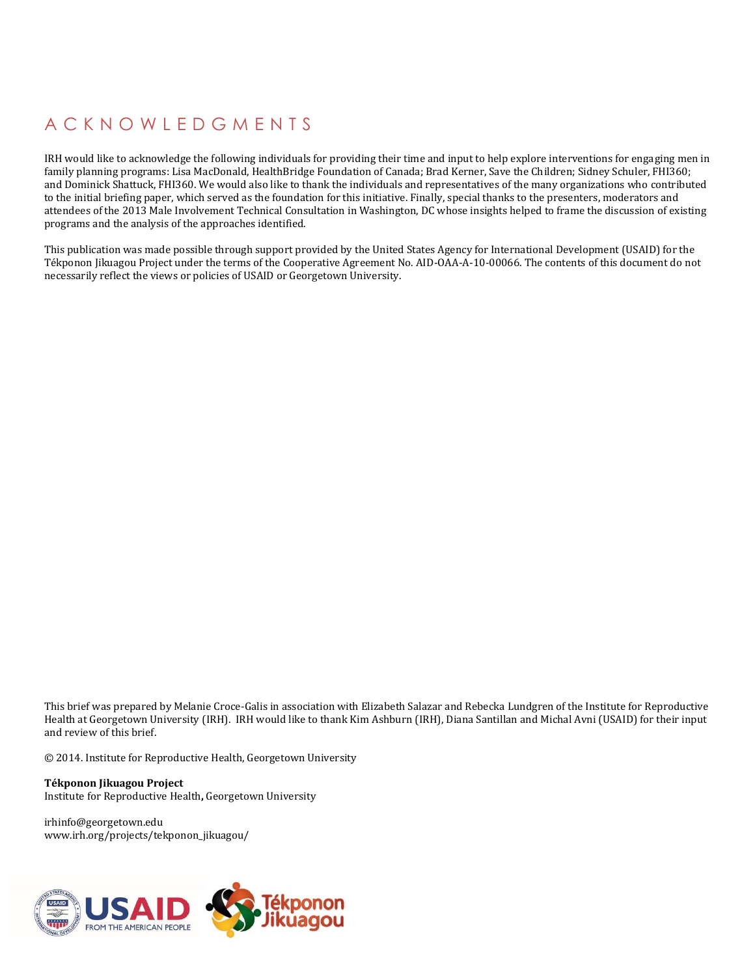# A C K N O W L E D G M E N T S

IRH would like to acknowledge the following individuals for providing their time and input to help explore interventions for engaging men in family planning programs: Lisa MacDonald, HealthBridge Foundation of Canada; Brad Kerner, Save the Children; Sidney Schuler, FHI360; and Dominick Shattuck, FHI360. We would also like to thank the individuals and representatives of the many organizations who contributed to the initial briefing paper, which served as the foundation for this initiative. Finally, special thanks to the presenters, moderators and attendees of the 2013 Male Involvement Technical Consultation in Washington, DC whose insights helped to frame the discussion of existing programs and the analysis of the approaches identified.

This publication was made possible through support provided by the United States Agency for International Development (USAID) for the Tékponon Jikuagou Project under the terms of the Cooperative Agreement No. AID-OAA-A-10-00066. The contents of this document do not necessarily reflect the views or policies of USAID or Georgetown University.

This brief was prepared by Melanie Croce-Galis in association with Elizabeth Salazar and Rebecka Lundgren of the Institute for Reproductive Health at Georgetown University (IRH). IRH would like to thank Kim Ashburn (IRH), Diana Santillan and Michal Avni (USAID) for their input and review of this brief.

© 2014. Institute for Reproductive Health, Georgetown University

**Tékponon Jikuagou Project**  Institute for Reproductive Health**,** Georgetown University

irhinfo@georgetown.edu www.irh.org/projects/tekponon\_jikuagou/

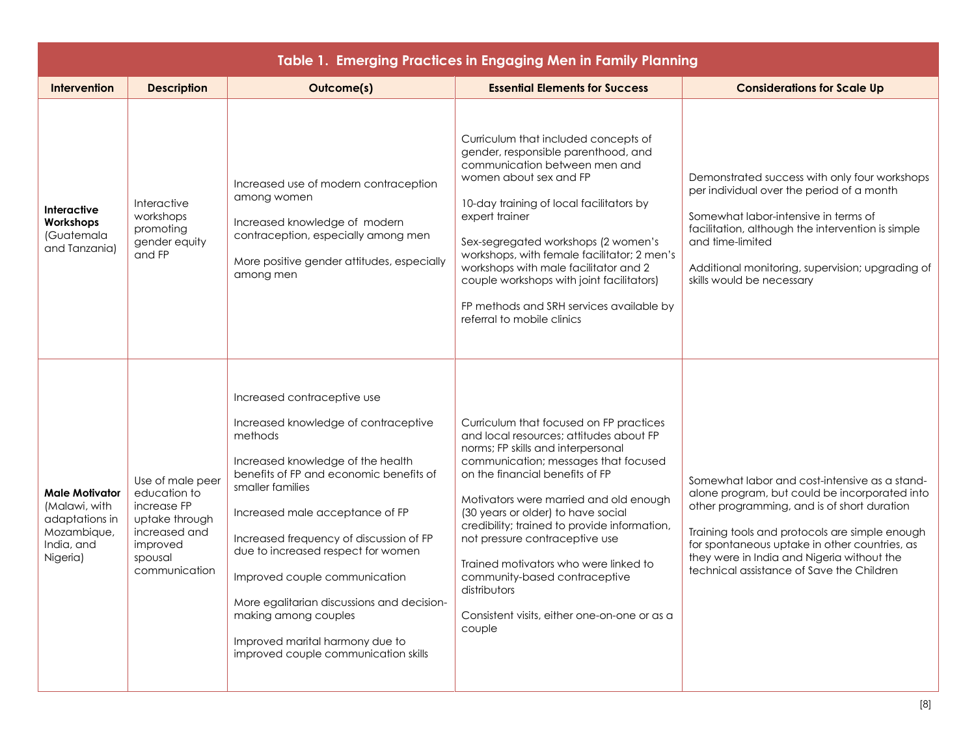| Table 1. Emerging Practices in Engaging Men in Family Planning                             |                                                                                                                            |                                                                                                                                                                                                                                                                                                                                                                                                                                                                                          |                                                                                                                                                                                                                                                                                                                                                                                                                                                                                                                           |                                                                                                                                                                                                                                                                                                                                             |  |  |  |
|--------------------------------------------------------------------------------------------|----------------------------------------------------------------------------------------------------------------------------|------------------------------------------------------------------------------------------------------------------------------------------------------------------------------------------------------------------------------------------------------------------------------------------------------------------------------------------------------------------------------------------------------------------------------------------------------------------------------------------|---------------------------------------------------------------------------------------------------------------------------------------------------------------------------------------------------------------------------------------------------------------------------------------------------------------------------------------------------------------------------------------------------------------------------------------------------------------------------------------------------------------------------|---------------------------------------------------------------------------------------------------------------------------------------------------------------------------------------------------------------------------------------------------------------------------------------------------------------------------------------------|--|--|--|
| Intervention                                                                               | <b>Description</b>                                                                                                         | Outcome(s)                                                                                                                                                                                                                                                                                                                                                                                                                                                                               | <b>Essential Elements for Success</b>                                                                                                                                                                                                                                                                                                                                                                                                                                                                                     | <b>Considerations for Scale Up</b>                                                                                                                                                                                                                                                                                                          |  |  |  |
| <b>Interactive</b><br>Workshops<br>(Guatemala<br>and Tanzania)                             | Interactive<br>workshops<br>promoting<br>gender equity<br>and FP                                                           | Increased use of modern contraception<br>among women<br>Increased knowledge of modern<br>contraception, especially among men<br>More positive gender attitudes, especially<br>among men                                                                                                                                                                                                                                                                                                  | Curriculum that included concepts of<br>gender, responsible parenthood, and<br>communication between men and<br>women about sex and FP<br>10-day training of local facilitators by<br>expert trainer<br>Sex-segregated workshops (2 women's<br>workshops, with female facilitator; 2 men's<br>workshops with male facilitator and 2<br>couple workshops with joint facilitators)<br>FP methods and SRH services available by<br>referral to mobile clinics                                                                | Demonstrated success with only four workshops<br>per individual over the period of a month<br>Somewhat labor-intensive in terms of<br>facilitation, although the intervention is simple<br>and time-limited<br>Additional monitoring, supervision; upgrading of<br>skills would be necessary                                                |  |  |  |
| Male Motivator<br>(Malawi, with<br>adaptations in<br>Mozambique,<br>India, and<br>Nigeria) | Use of male peer<br>education to<br>increase FP<br>uptake through<br>increased and<br>improved<br>spousal<br>communication | Increased contraceptive use<br>Increased knowledge of contraceptive<br>methods<br>Increased knowledge of the health<br>benefits of FP and economic benefits of<br>smaller families<br>Increased male acceptance of FP<br>Increased frequency of discussion of FP<br>due to increased respect for women<br>Improved couple communication<br>More egalitarian discussions and decision-<br>making among couples<br>Improved marital harmony due to<br>improved couple communication skills | Curriculum that focused on FP practices<br>and local resources; attitudes about FP<br>norms; FP skills and interpersonal<br>communication; messages that focused<br>on the financial benefits of FP<br>Motivators were married and old enough<br>(30 years or older) to have social<br>credibility; trained to provide information,<br>not pressure contraceptive use<br>Trained motivators who were linked to<br>community-based contraceptive<br>distributors<br>Consistent visits, either one-on-one or as a<br>couple | Somewhat labor and cost-intensive as a stand-<br>alone program, but could be incorporated into<br>other programming, and is of short duration<br>Training tools and protocols are simple enough<br>for spontaneous uptake in other countries, as<br>they were in India and Nigeria without the<br>technical assistance of Save the Children |  |  |  |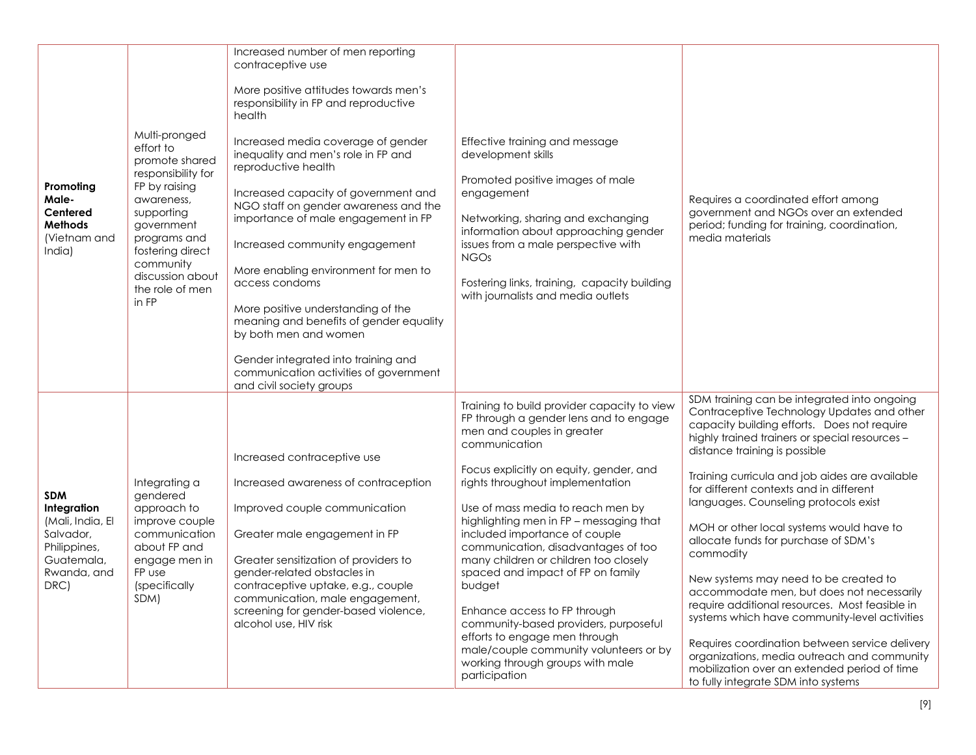| Promoting<br>Male-<br>Centered<br><b>Methods</b><br>(Vietnam and<br>India)                                      | Multi-pronged<br>effort to<br>promote shared<br>responsibility for<br>FP by raising<br>awareness,<br>supporting<br>government<br>programs and<br>fostering direct<br>community<br>discussion about<br>the role of men<br>in FP | Increased number of men reporting<br>contraceptive use<br>More positive attitudes towards men's<br>responsibility in FP and reproductive<br>health<br>Increased media coverage of gender<br>inequality and men's role in FP and<br>reproductive health<br>Increased capacity of government and<br>NGO staff on gender awareness and the<br>importance of male engagement in FP<br>Increased community engagement<br>More enabling environment for men to<br>access condoms<br>More positive understanding of the<br>meaning and benefits of gender equality<br>by both men and women<br>Gender integrated into training and<br>communication activities of government<br>and civil society groups | Effective training and message<br>development skills<br>Promoted positive images of male<br>engagement<br>Networking, sharing and exchanging<br>information about approaching gender<br>issues from a male perspective with<br><b>NGOs</b><br>Fostering links, training, capacity building<br>with journalists and media outlets                                                                                                                                                                                                                                                                                                                                             | Requires a coordinated effort among<br>government and NGOs over an extended<br>period; funding for training, coordination,<br>media materials                                                                                                                                                                                                                                                                                                                                                                                                                                                                                                                                                                                                                                                                                                       |
|-----------------------------------------------------------------------------------------------------------------|--------------------------------------------------------------------------------------------------------------------------------------------------------------------------------------------------------------------------------|---------------------------------------------------------------------------------------------------------------------------------------------------------------------------------------------------------------------------------------------------------------------------------------------------------------------------------------------------------------------------------------------------------------------------------------------------------------------------------------------------------------------------------------------------------------------------------------------------------------------------------------------------------------------------------------------------|------------------------------------------------------------------------------------------------------------------------------------------------------------------------------------------------------------------------------------------------------------------------------------------------------------------------------------------------------------------------------------------------------------------------------------------------------------------------------------------------------------------------------------------------------------------------------------------------------------------------------------------------------------------------------|-----------------------------------------------------------------------------------------------------------------------------------------------------------------------------------------------------------------------------------------------------------------------------------------------------------------------------------------------------------------------------------------------------------------------------------------------------------------------------------------------------------------------------------------------------------------------------------------------------------------------------------------------------------------------------------------------------------------------------------------------------------------------------------------------------------------------------------------------------|
| <b>SDM</b><br>Integration<br>(Mali, India, El<br>Salvador,<br>Philippines,<br>Guatemala,<br>Rwanda, and<br>DRC) | Integrating a<br>gendered<br>approach to<br>improve couple<br>communication<br>about FP and<br>engage men in<br>FP use<br>(specifically<br>SDM)                                                                                | Increased contraceptive use<br>Increased awareness of contraception<br>Improved couple communication<br>Greater male engagement in FP<br>Greater sensitization of providers to<br>gender-related obstacles in<br>contraceptive uptake, e.g., couple<br>communication, male engagement,<br>screening for gender-based violence,<br>alcohol use, HIV risk                                                                                                                                                                                                                                                                                                                                           | Training to build provider capacity to view<br>FP through a gender lens and to engage<br>men and couples in greater<br>communication<br>Focus explicitly on equity, gender, and<br>rights throughout implementation<br>Use of mass media to reach men by<br>highlighting men in FP - messaging that<br>included importance of couple<br>communication, disadvantages of too<br>many children or children too closely<br>spaced and impact of FP on family<br>budget<br>Enhance access to FP through<br>community-based providers, purposeful<br>efforts to engage men through<br>male/couple community volunteers or by<br>working through groups with male<br>participation | SDM training can be integrated into ongoing<br>Contraceptive Technology Updates and other<br>capacity building efforts. Does not require<br>highly trained trainers or special resources -<br>distance training is possible<br>Training curricula and job aides are available<br>for different contexts and in different<br>languages. Counseling protocols exist<br>MOH or other local systems would have to<br>allocate funds for purchase of SDM's<br>commodity<br>New systems may need to be created to<br>accommodate men, but does not necessarily<br>require additional resources. Most feasible in<br>systems which have community-level activities<br>Requires coordination between service delivery<br>organizations, media outreach and community<br>mobilization over an extended period of time<br>to fully integrate SDM into systems |